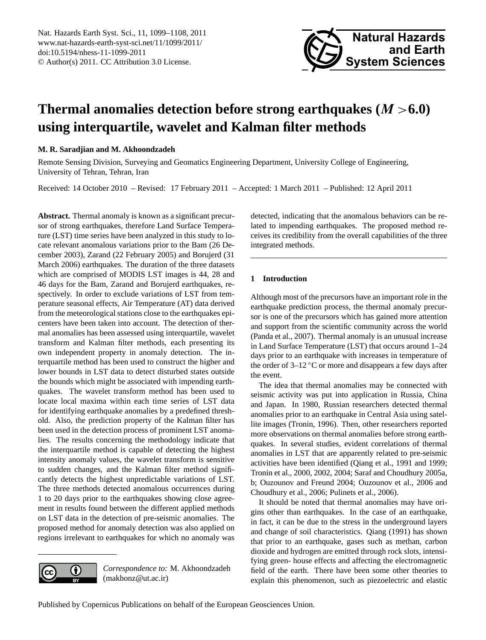<span id="page-0-0"></span>Nat. Hazards Earth Syst. Sci., 11, 1099–1108, 2011 www.nat-hazards-earth-syst-sci.net/11/1099/2011/ doi:10.5194/nhess-11-1099-2011 © Author(s) 2011. CC Attribution 3.0 License.



# **Thermal anomalies detection before strong earthquakes (**M >**6.0) using interquartile, wavelet and Kalman filter methods**

# **M. R. Saradjian and M. Akhoondzadeh**

Remote Sensing Division, Surveying and Geomatics Engineering Department, University College of Engineering, University of Tehran, Tehran, Iran

Received: 14 October 2010 – Revised: 17 February 2011 – Accepted: 1 March 2011 – Published: 12 April 2011

**Abstract.** Thermal anomaly is known as a significant precursor of strong earthquakes, therefore Land Surface Temperature (LST) time series have been analyzed in this study to locate relevant anomalous variations prior to the Bam (26 December 2003), Zarand (22 February 2005) and Borujerd (31 March 2006) earthquakes. The duration of the three datasets which are comprised of MODIS LST images is 44, 28 and 46 days for the Bam, Zarand and Borujerd earthquakes, respectively. In order to exclude variations of LST from temperature seasonal effects, Air Temperature (AT) data derived from the meteorological stations close to the earthquakes epicenters have been taken into account. The detection of thermal anomalies has been assessed using interquartile, wavelet transform and Kalman filter methods, each presenting its own independent property in anomaly detection. The interquartile method has been used to construct the higher and lower bounds in LST data to detect disturbed states outside the bounds which might be associated with impending earthquakes. The wavelet transform method has been used to locate local maxima within each time series of LST data for identifying earthquake anomalies by a predefined threshold. Also, the prediction property of the Kalman filter has been used in the detection process of prominent LST anomalies. The results concerning the methodology indicate that the interquartile method is capable of detecting the highest intensity anomaly values, the wavelet transform is sensitive to sudden changes, and the Kalman filter method significantly detects the highest unpredictable variations of LST. The three methods detected anomalous occurrences during 1 to 20 days prior to the earthquakes showing close agreement in results found between the different applied methods on LST data in the detection of pre-seismic anomalies. The proposed method for anomaly detection was also applied on regions irrelevant to earthquakes for which no anomaly was

detected, indicating that the anomalous behaviors can be related to impending earthquakes. The proposed method receives its credibility from the overall capabilities of the three integrated methods.

# **1 Introduction**

Although most of the precursors have an important role in the earthquake prediction process, the thermal anomaly precursor is one of the precursors which has gained more attention and support from the scientific community across the world (Panda et al., 2007). Thermal anomaly is an unusual increase in Land Surface Temperature (LST) that occurs around 1–24 days prior to an earthquake with increases in temperature of the order of 3–12 ◦C or more and disappears a few days after the event.

The idea that thermal anomalies may be connected with seismic activity was put into application in Russia, China and Japan. In 1980, Russian researchers detected thermal anomalies prior to an earthquake in Central Asia using satellite images (Tronin, 1996). Then, other researchers reported more observations on thermal anomalies before strong earthquakes. In several studies, evident correlations of thermal anomalies in LST that are apparently related to pre-seismic activities have been identified (Qiang et al., 1991 and 1999; Tronin et al., 2000, 2002, 2004; Saraf and Choudhury 2005a, b; Ouzounov and Freund 2004; Ouzounov et al., 2006 and Choudhury et al., 2006; Pulinets et al., 2006).

It should be noted that thermal anomalies may have origins other than earthquakes. In the case of an earthquake, in fact, it can be due to the stress in the underground layers and change of soil characteristics. Qiang (1991) has shown that prior to an earthquake, gases such as methan, carbon dioxide and hydrogen are emitted through rock slots, intensifying green- house effects and affecting the electromagnetic field of the earth. There have been some other theories to explain this phenomenon, such as piezoelectric and elastic



*Correspondence to:* M. Akhoondzadeh (makhonz@ut.ac.ir)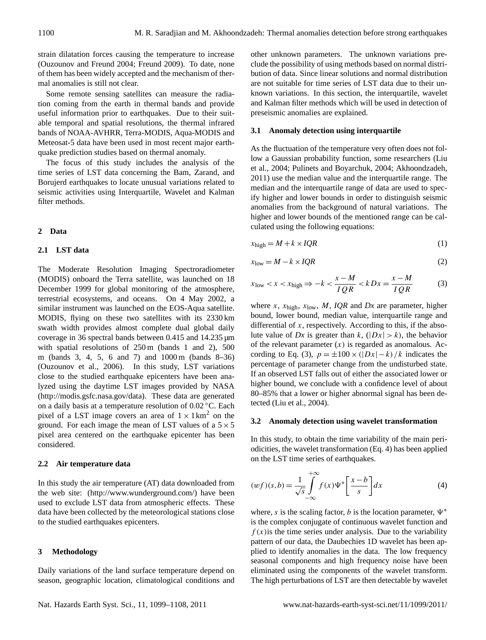strain dilatation forces causing the temperature to increase (Ouzounov and Freund 2004; Freund 2009). To date, none of them has been widely accepted and the mechanism of thermal anomalies is still not clear.

Some remote sensing satellites can measure the radiation coming from the earth in thermal bands and provide useful information prior to earthquakes. Due to their suitable temporal and spatial resolutions, the thermal infrared bands of NOAA-AVHRR, Terra-MODIS, Aqua-MODIS and Meteosat-5 data have been used in most recent major earthquake prediction studies based on thermal anomaly.

The focus of this study includes the analysis of the time series of LST data concerning the Bam, Zarand, and Borujerd earthquakes to locate unusual variations related to seismic activities using Interquartile, Wavelet and Kalman filter methods.

## **2 Data**

# **2.1 LST data**

The Moderate Resolution Imaging Spectroradiometer (MODIS) onboard the Terra satellite, was launched on 18 December 1999 for global monitoring of the atmosphere, terrestrial ecosystems, and oceans. On 4 May 2002, a similar instrument was launched on the EOS-Aqua satellite. MODIS, flying on these two satellites with its 2330 km swath width provides almost complete dual global daily coverage in 36 spectral bands between 0.415 and 14.235 µm with spatial resolutions of 250 m (bands 1 and 2), 500 m (bands 3, 4, 5, 6 and 7) and 1000 m (bands 8–36) (Ouzounov et al., 2006). In this study, LST variations close to the studied earthquake epicenters have been analyzed using the daytime LST images provided by NASA [\(http://modis.gsfc.nasa.gov/data\)](http://modis.gsfc.nasa.gov/data). These data are generated on a daily basis at a temperature resolution of 0.02 ◦C. Each pixel of a LST image covers an area of  $1 \times 1 \text{ km}^2$  on the ground. For each image the mean of LST values of a  $5 \times 5$ pixel area centered on the earthquake epicenter has been considered.

## **2.2 Air temperature data**

In this study the air temperature (AT) data downloaded from the web site: [\(http://www.wunderground.com/\)](http://www.wunderground.com/) have been used to exclude LST data from atmospheric effects. These data have been collected by the meteorological stations close to the studied earthquakes epicenters.

#### **3 Methodology**

Daily variations of the land surface temperature depend on season, geographic location, climatological conditions and other unknown parameters. The unknown variations preclude the possibility of using methods based on normal distribution of data. Since linear solutions and normal distribution are not suitable for time series of LST data due to their unknown variations. In this section, the interquartile, wavelet and Kalman filter methods which will be used in detection of preseismic anomalies are explained.

## **3.1 Anomaly detection using interquartile**

As the fluctuation of the temperature very often does not follow a Gaussian probability function, some researchers (Liu et al., 2004; Pulinets and Boyarchuk, 2004; Akhoondzadeh, 2011) use the median value and the interquartile range. The median and the interquartile range of data are used to specify higher and lower bounds in order to distinguish seismic anomalies from the background of natural variations. The higher and lower bounds of the mentioned range can be calculated using the following equations:

$$
x_{\text{high}} = M + k \times IQR \tag{1}
$$

$$
x_{\text{low}} = M - k \times IQR \tag{2}
$$

<span id="page-1-0"></span>
$$
x_{\text{low}} < x < x_{\text{high}} \Rightarrow -k < \frac{x - M}{IQR} < kDx = \frac{x - M}{IQR} \tag{3}
$$

where x,  $x_{\text{high}}$ ,  $x_{\text{low}}$ ,  $M$ , *IQR* and *Dx* are parameter, higher bound, lower bound, median value, interquartile range and differential of  $x$ , respectively. According to this, if the absolute value of *Dx* is greater than  $k$ ,  $(|Dx| > k)$ , the behavior of the relevant parameter  $(x)$  is regarded as anomalous. Ac-cording to Eq. [\(3\)](#page-1-0),  $p = \pm 100 \times (|Dx| - k)/k$  indicates the percentage of parameter change from the undisturbed state. If an observed LST falls out of either the associated lower or higher bound, we conclude with a confidence level of about 80–85% that a lower or higher abnormal signal has been detected (Liu et al., 2004).

## **3.2 Anomaly detection using wavelet transformation**

In this study, to obtain the time variability of the main periodicities, the wavelet transformation (Eq. 4) has been applied on the LST time series of earthquakes.

$$
(wf)(s,b) = \frac{1}{\sqrt{s}} \int_{-\infty}^{+\infty} f(x) \Psi^* \left[ \frac{x-b}{s} \right] dx \tag{4}
$$

where, s is the scaling factor, b is the location parameter,  $\Psi^*$ is the complex conjugate of continuous wavelet function and  $f(x)$  is the time series under analysis. Due to the variability pattern of our data, the Daubechies 1D wavelet has been applied to identify anomalies in the data. The low frequency seasonal components and high frequency noise have been eliminated using the components of the wavelet transform. The high perturbations of LST are then detectable by wavelet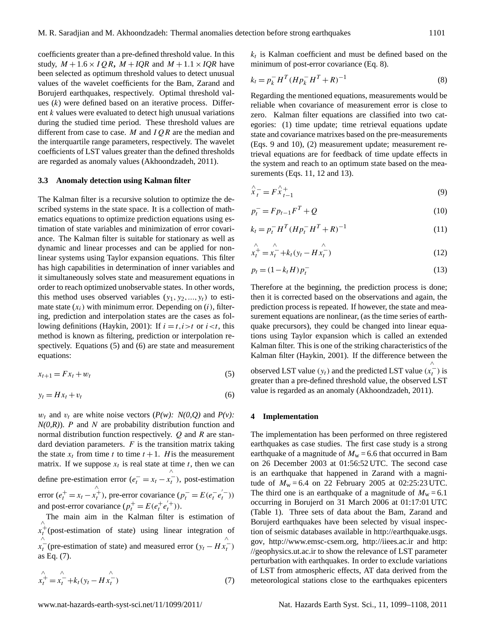coefficients greater than a pre-defined threshold value. In this study,  $M + 1.6 \times IQR$ ,  $M + IQR$  and  $M + 1.1 \times IQR$  have been selected as optimum threshold values to detect unusual values of the wavelet coefficients for the Bam, Zarand and Borujerd earthquakes, respectively. Optimal threshold values  $(k)$  were defined based on an iterative process. Different k values were evaluated to detect high unusual variations during the studied time period. These threshold values are different from case to case. M and  $IQR$  are the median and the interquartile range parameters, respectively. The wavelet coefficients of LST values greater than the defined thresholds are regarded as anomaly values (Akhoondzadeh, 2011).

#### **3.3 Anomaly detection using Kalman filter**

The Kalman filter is a recursive solution to optimize the described systems in the state space. It is a collection of mathematics equations to optimize prediction equations using estimation of state variables and minimization of error covariance. The Kalman filter is suitable for stationary as well as dynamic and linear processes and can be applied for nonlinear systems using Taylor expansion equations. This filter has high capabilities in determination of inner variables and it simultaneously solves state and measurement equations in order to reach optimized unobservable states. In other words, this method uses observed variables  $(y_1, y_2, ..., y_t)$  to estimate state  $(x_i)$  with minimum error. Depending on  $(i)$ , filtering, prediction and interpolation states are the cases as following definitions (Haykin, 2001): If  $i = t, i > t$  or  $i < t$ , this method is known as filtering, prediction or interpolation respectively. Equations [\(5\)](#page-2-0) and [\(6\)](#page-2-1) are state and measurement equations:

<span id="page-2-0"></span>
$$
x_{t+1} = F x_t + w_t \tag{5}
$$

<span id="page-2-1"></span>
$$
y_t = Hx_t + v_t \tag{6}
$$

 $w_t$  and  $v_t$  are white noise vectors ( $P(w)$ :  $N(0,Q)$  and  $P(v)$ :  $N(0,R)$ ). P and N are probability distribution function and normal distribution function respectively.  $Q$  and  $R$  are standard deviation parameters.  $F$  is the transition matrix taking the state  $x_t$  from time t to time  $t + 1$ . His the measurement matrix. If we suppose  $x_t$  is real state at time t, then we can define pre-estimation error  $(e_t^- = x_t$  – ∧  $x_t^-$ ), post-estimation  $error(e_t^+ = x_t -$ ∧  $x_t^{\text{+}}$ ), pre-error covariance  $(p_t^- = E(e_t^- e_t^{(-)})$ and post-error covariance  $(p_t^+ = E(e_t^+ e_t^+))$ .

The main aim in the Kalman filter is estimation of  $x_t^+$ (post-estimation of state) using linear integration of ∧  $x_t$ <sup>-</sup> (pre-estimation of state) and measured error ( $y_t$  – H ∧  $\mathbf{x}_t^{-}$ as Eq. [\(7\)](#page-2-2).

<span id="page-2-2"></span>
$$
\hat{x_t^+} = \hat{x_t^-} + k_t (y_t - H \hat{x_t^-})
$$
\n(7)

 $k_t$  is Kalman coefficient and must be defined based on the minimum of post-error covariance (Eq. 8).

<span id="page-2-3"></span>
$$
k_t = p_k^- H^T (H p_k^- H^T + R)^{-1}
$$
 (8)

Regarding the mentioned equations, measurements would be reliable when covariance of measurement error is close to zero. Kalman filter equations are classified into two categories: (1) time update; time retrieval equations update state and covariance matrixes based on the pre-measurements (Eqs. 9 and 10), (2) measurement update; measurement retrieval equations are for feedback of time update effects in the system and reach to an optimum state based on the measurements (Eqs. 11, 12 and 13).

$$
\hat{x}_t^- = F \hat{x}_{t-1}^+
$$
\n<sup>(9)</sup>

$$
p_t^- = F p_{t-1} F^T + Q \tag{10}
$$

$$
k_t = p_t^- H^T (H p_t^- H^T + R)^{-1}
$$
\n(11)

$$
x_t^{\hat{+}} = x_t^{\hat{-}} + k_t (y_t - H x_t^{\hat{-}})
$$
\n(12)

$$
p_t = (1 - k_t H) p_t^-
$$
\n(13)

Therefore at the beginning, the prediction process is done; then it is corrected based on the observations and again, the prediction process is repeated. If however, the state and measurement equations are nonlinear, (as the time series of earthquake precursors), they could be changed into linear equations using Taylor expansion which is called an extended Kalman filter. This is one of the striking characteristics of the Kalman filter (Haykin, 2001). If the difference between the observed LST value ( $y_t$ ) and the predicted LST value ( $x_t^-$ ) is ∧ greater than a pre-defined threshold value, the observed LST

value is regarded as an anomaly (Akhoondzadeh, 2011).

#### **4 Implementation**

The implementation has been performed on three registered earthquakes as case studies. The first case study is a strong earthquake of a magnitude of  $M_w = 6.6$  that occurred in Bam on 26 December 2003 at 01:56:52 UTC. The second case is an earthquake that happened in Zarand with a magnitude of  $M_w = 6.4$  on 22 February 2005 at 02:25:23 UTC. The third one is an earthquake of a magnitude of  $M_w = 6.1$ occurring in Borujerd on 31 March 2006 at 01:17:01 UTC (Table 1). Three sets of data about the Bam, Zarand and Borujerd earthquakes have been selected by visual inspection of seismic databases available in [http://earthquake.usgs.](http://earthquake.usgs.gov) [gov,](http://earthquake.usgs.gov) [http://www.emsc-csem.org,](http://www.emsc-csem.org) <http://iiees.ac.ir> and [http:](http://geophysics.ut.ac.ir) [//geophysics.ut.ac.ir](http://geophysics.ut.ac.ir) to show the relevance of LST parameter perturbation with earthquakes. In order to exclude variations of LST from atmospheric effects, AT data derived from the meteorological stations close to the earthquakes epicenters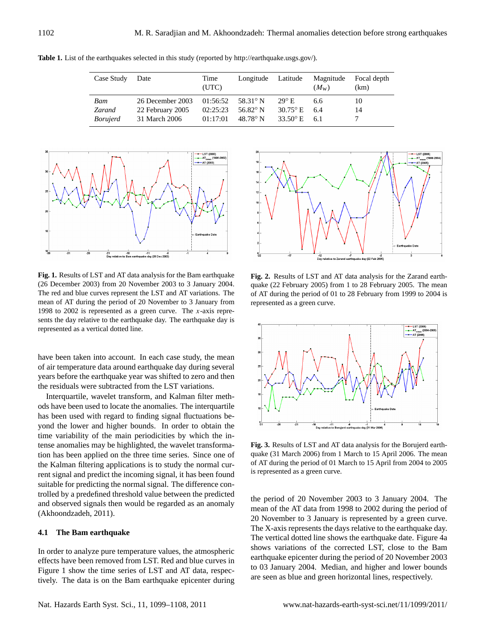| Case Study      | Date             | Time<br>(UTC) | Longitude         | Latitude              | Magnitude<br>$(M_{\rm w})$ | Focal depth<br>(km) |
|-----------------|------------------|---------------|-------------------|-----------------------|----------------------------|---------------------|
| Bam             | 26 December 2003 | 01:56:52      | 58.31° N          | $29^{\circ}$ E.       | 6.6                        | 10                  |
| Zarand          | 22 February 2005 | 02:25:23      | 56.82 $\degree$ N | $30.75^{\circ}$ E     | 6.4                        | 14                  |
| <i>Borujerd</i> | 31 March 2006    | 01:17:01      | $48.78^{\circ}$ N | 33.50 $\degree$ E 6.1 |                            |                     |

**Table 1.** List of the earthquakes selected in this study (reported by [http://earthquake.usgs.gov/\)](http://earthquake.usgs.gov/).



 $(26$  December 2003) from 20 November 2003 to 3 January 2004. mean of AT during the period of 20 November to 3 January from 1998 to 2002 is represented as a green curve. The x-axis represents the day relative to the earthquake day. The earthquake day is represented as a vertical dotted line. **Fig. 1.** Results of LST and AT data analysis for the Bam earthquake 2 (26 December 2003) from 20 November 2003 to 3 January 2004.

have been taken into account. In each case study, the mean of air temperature data around earthquake day during several 9 years before the earthquake year was shifted to zero and then 10 the residuals were subtracted from the LST variations.

suitable for predicting the normal signal. The difference con-Interquartile, wavelet transform, and Kalman filter methods have been used to locate the anomalies. The interquartile has been used with regard to finding signal fluctuations beyond the lower and higher bounds. In order to obtain the time variability of the main periodicities by which the intense anomalies may be highlighted, the wavelet transformation has been applied on the three time series. Since one of the Kalman filtering applications is to study the normal current signal and predict the incoming signal, it has been found trolled by a predefined threshold value between the predicted 6 and observed signals then would be regarded as an anomaly (Akhoondzadeh, 2011).  $\frac{1}{2}$ 

# **4.1 The Bam earthquake**

In order to analyze pure temperature values, the atmospheric effects have been removed from LST. Red and blue curves in Figure 1 show the time series of LST and AT data, respectively. The data is on the Bam earthquake epicenter during



 $\overline{\text{B}}$ . The of AT during the period of 01 to 28 February from 1999 to 2004 is from represented as a green curve. **Fig. 2.** Results of LST and AT data analysis for the Zarand earthquake (22 February 2005) from 1 to 28 February 2005. The mean



Figure 3. Results of AT during the period of 01 March to 15 April from 2004 to 2005  $\frac{1}{\text{mod}}$  is represented as a green curve. **Fig. 3.** Results of LST and AT data analysis for the Borujerd earthquake (31 March 2006) from 1 March to 15 April 2006. The mean

the period of 20 November 2003 to 3 January 2004. The mean of the AT data from 1998 to 2002 during the period of 20 November to 3 January is represented by a green curve. The X-axis represents the days relative to the earthquake day. The vertical dotted line shows the earthquake date. Figure 4a shows variations of the corrected LST, close to the Bam earthquake epicenter during the period of 20 November 2003 to 03 January 2004. Median, and higher and lower bounds are seen as blue and green horizontal lines, respectively.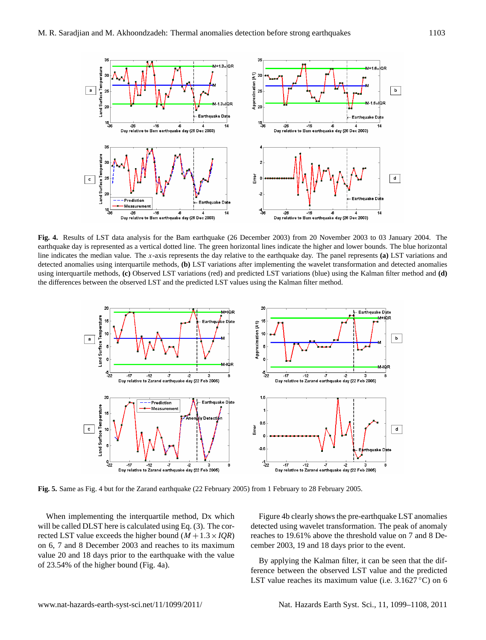

earthquake day is represented as a vertical dotted line. The green horizontal lines indicate the higher and lower bounds. The blue horizontal detected anomalies using interquartile methods, (b) LST variations after implementing the wavelet transformation and detected anomalies the differences between the observed LST and the predicted LST values using the Kalman filter method. **Fig. 4.** Results of LST data analysis for the Bam earthquake (26 December 2003) from 20 November 2003 to 03 January 2004. The line indicates the median value. The x-axis represents the day relative to the earthquake day. The panel represents **(a)** LST variations and using interquartile methods, **(c)** Observed LST variations (red) and predicted LST variations (blue) using the Kalman filter method and **(d)**



Fig. 5. Same as Fig. 4 but for the Zarand earthquake (22 February 2005) from 1 February to 28 February 2005.

When implementing the interquartile method, Dx which Figure 4b clearly shows the pre-earthquake LST an rected LST value exceeds the higher bound  $(M + 1.3 \times IQR)$ value 20 and 18 days prior to the earthquake with the value will be called DLST here is calculated using Eq. (3). The coron 6, 7 and 8 December 2003 and reaches to its maximum of 23.54% of the higher bound (Fig. 4a).

Figure 4b clearly shows the pre-earthquake LST anomalies detected using wavelet transformation. The peak of anomaly reaches to 19.61% above the threshold value on 7 and 8 December 2003, 19 and 18 days prior to the event.

By applying the Kalman filter, it can be seen that the difference between the observed LST value and the predicted LST value reaches its maximum value (i.e.  $3.1627^{\circ}$ C) on 6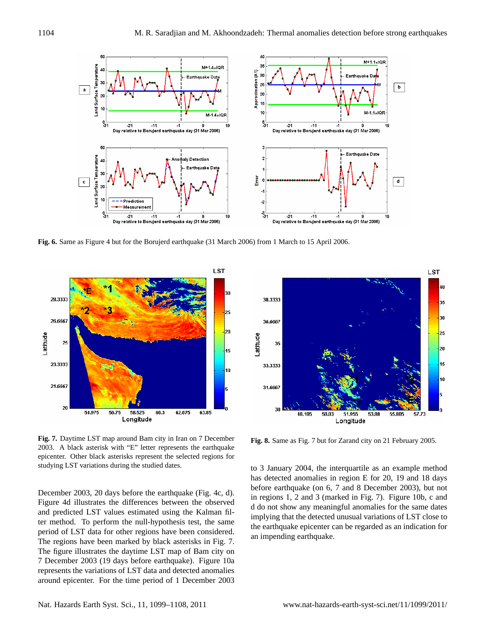

2 **Fig. 6.** Same as Figure 4 but for the Borujerd earthquake (31 March 2006) from 1 March to 15 April 2006.



2003. A black asterisk with "E" letter represents the earthquake studying LST variations during the studied dates. epicenter. Other black asterisks represent the selected regions for **Fig. 7.** Daytime LST map around Bam city in Iran on 7 December

December 2003, 20 days before the earthquake (Fig. 4c, d). and predicted LST values estimated using the Kalman fil-Figure 4d illustrates the differences between the observed ter method. To perform the null-hypothesis test, the same period of LST data for other regions have been considered. The regions have been marked by black asterisks in Fig. 7. The figure illustrates the daytime LST map of Bam city on 7 December 2003 (19 days before earthquake). Figure 10a represents the variations of LST data and detected anomalies around epicenter. For the time period of 1 December 2003



**Fig. 8.** Same as Fig. 7 but for Zarand city on 21 February 2005.

to 3 January 2004, the interquartile as an example method has detected anomalies in region E for 20, 19 and 18 days before earthquake (on 6, 7 and 8 December 2003), but not in regions 1, 2 and 3 (marked in Fig. 7). Figure 10b, c and d do not show any meaningful anomalies for the same dates implying that the detected unusual variations of LST close to the earthquake epicenter can be regarded as an indication for an impending earthquake.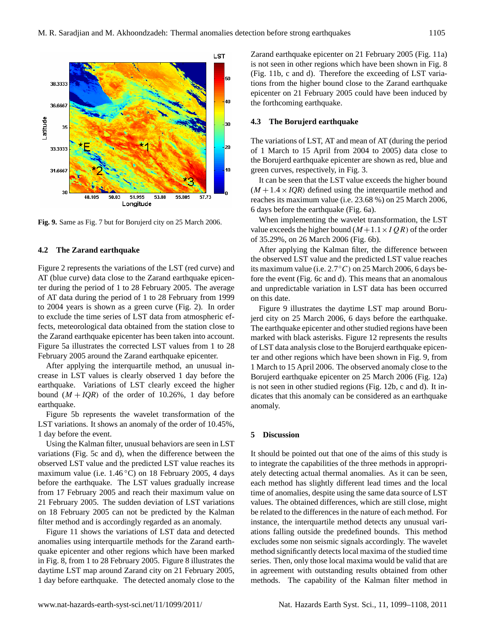

**Fig. 9.** Same as Fig. 7 but for Borujerd city on 25 March 2006.

## **4.2 The Zarand earthquake**

Figure 2 represents the variations of the LST (red curve) and AT (blue curve) data close to the Zarand earthquake epicenter during the period of 1 to 28 February 2005. The average of AT data during the period of 1 to 28 February from 1999 to 2004 years is shown as a green curve (Fig. 2). In order to exclude the time series of LST data from atmospheric effects, meteorological data obtained from the station close to the Zarand earthquake epicenter has been taken into account. Figure 5a illustrates the corrected LST values from 1 to 28 February 2005 around the Zarand earthquake epicenter.

After applying the interquartile method, an unusual increase in LST values is clearly observed 1 day before the earthquake. Variations of LST clearly exceed the higher bound  $(M + IQR)$  of the order of 10.26%, 1 day before earthquake.

Figure 5b represents the wavelet transformation of the LST variations. It shows an anomaly of the order of 10.45%, 1 day before the event.

Using the Kalman filter, unusual behaviors are seen in LST variations (Fig. 5c and d), when the difference between the observed LST value and the predicted LST value reaches its maximum value (i.e.  $1.46^{\circ}$ C) on 18 February 2005, 4 days before the earthquake. The LST values gradually increase from 17 February 2005 and reach their maximum value on 21 February 2005. The sudden deviation of LST variations on 18 February 2005 can not be predicted by the Kalman filter method and is accordingly regarded as an anomaly.

Figure 11 shows the variations of LST data and detected anomalies using interquartile methods for the Zarand earthquake epicenter and other regions which have been marked in Fig. 8, from 1 to 28 February 2005. Figure 8 illustrates the daytime LST map around Zarand city on 21 February 2005, 1 day before earthquake. The detected anomaly close to the Zarand earthquake epicenter on 21 February 2005 (Fig. 11a) is not seen in other regions which have been shown in Fig. 8 (Fig. 11b, c and d). Therefore the exceeding of LST variations from the higher bound close to the Zarand earthquake epicenter on 21 February 2005 could have been induced by the forthcoming earthquake.

## **4.3 The Borujerd earthquake**

The variations of LST, AT and mean of AT (during the period of 1 March to 15 April from 2004 to 2005) data close to the Borujerd earthquake epicenter are shown as red, blue and green curves, respectively, in Fig. 3.

It can be seen that the LST value exceeds the higher bound  $(M + 1.4 \times IQR)$  defined using the interquartile method and reaches its maximum value (i.e. 23.68 %) on 25 March 2006, 6 days before the earthquake (Fig. 6a).

When implementing the wavelet transformation, the LST value exceeds the higher bound  $(M+1.1 \times IQR)$  of the order of 35.29%, on 26 March 2006 (Fig. 6b).

After applying the Kalman filter, the difference between the observed LST value and the predicted LST value reaches its maximum value (i.e.  $2.7^{\circ}$ C) on 25 March 2006, 6 days before the event (Fig. 6c and d). This means that an anomalous and unpredictable variation in LST data has been occurred on this date.

Figure 9 illustrates the daytime LST map around Borujerd city on 25 March 2006, 6 days before the earthquake. The earthquake epicenter and other studied regions have been marked with black asterisks. Figure 12 represents the results of LST data analysis close to the Borujerd earthquake epicenter and other regions which have been shown in Fig. 9, from 1 March to 15 April 2006. The observed anomaly close to the Borujerd earthquake epicenter on 25 March 2006 (Fig. 12a) is not seen in other studied regions (Fig. 12b, c and d). It indicates that this anomaly can be considered as an earthquake anomaly.

## **5 Discussion**

It should be pointed out that one of the aims of this study is to integrate the capabilities of the three methods in appropriately detecting actual thermal anomalies. As it can be seen, each method has slightly different lead times and the local time of anomalies, despite using the same data source of LST values. The obtained differences, which are still close, might be related to the differences in the nature of each method. For instance, the interquartile method detects any unusual variations falling outside the predefined bounds. This method excludes some non seismic signals accordingly. The wavelet method significantly detects local maxima of the studied time series. Then, only those local maxima would be valid that are in agreement with outstanding results obtained from other methods. The capability of the Kalman filter method in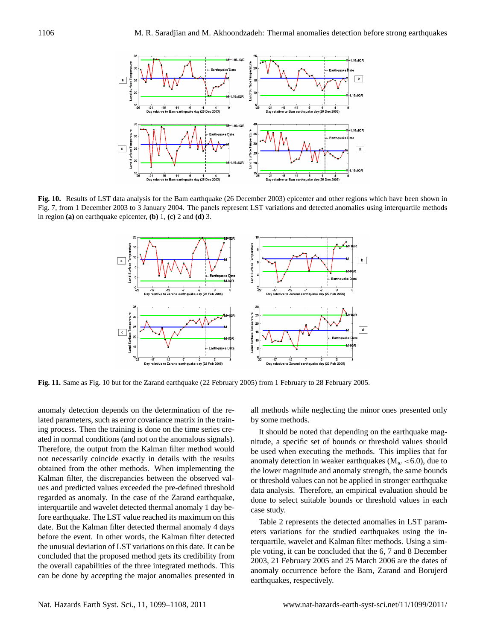

2 **Fig. 10.** Results of LST data analysis for the Bam earthquake (26 December 2003) epicenter and other regions which have been shown in in region (a) on earthquake epicenter,  $(b)$  1,  $(c)$  2 and  $(d)$  3. Fig. 7, from 1 December 2003 to 3 January 2004. The panels represent LST variations and detected anomalies using interquartile methods



2 **Fig. 11.** Same as Fig. 10 but for the Zarand earthquake (22 February 2005) from 1 February to 28 February 2005.

anomaly detection depends on the determination of the reing process. Then the training is done on the time series cre-6 Therefore, the output from the Kalman filter method would 7 not necessarily coincide exactly in details with the results Kalman filter, the discrepancies between the observed values and predicted values exceeded the pre-defined threshold interquartile and wavelet detected thermal anomaly 1 day bedate. But the Kalman filter detected thermal anomaly 4 days lated parameters, such as error covariance matrix in the trainated in normal conditions (and not on the anomalous signals). obtained from the other methods. When implementing the regarded as anomaly. In the case of the Zarand earthquake, fore earthquake. The LST value reached its maximum on this before the event. In other words, the Kalman filter detected the unusual deviation of LST variations on this date. It can be concluded that the proposed method gets its credibility from the overall capabilities of the three integrated methods. This can be done by accepting the major anomalies presented in

all methods while neglecting the minor ones presented only by some methods.

It should be noted that depending on the earthquake magnitude, a specific set of bounds or threshold values should be used when executing the methods. This implies that for anomaly detection in weaker earthquakes ( $M_w < 6.0$ ), due to the lower magnitude and anomaly strength, the same bounds or threshold values can not be applied in stronger earthquake data analysis. Therefore, an empirical evaluation should be done to select suitable bounds or threshold values in each case study.

Table 2 represents the detected anomalies in LST parameters variations for the studied earthquakes using the interquartile, wavelet and Kalman filter methods. Using a simple voting, it can be concluded that the 6, 7 and 8 December 2003, 21 February 2005 and 25 March 2006 are the dates of anomaly occurrence before the Bam, Zarand and Borujerd earthquakes, respectively.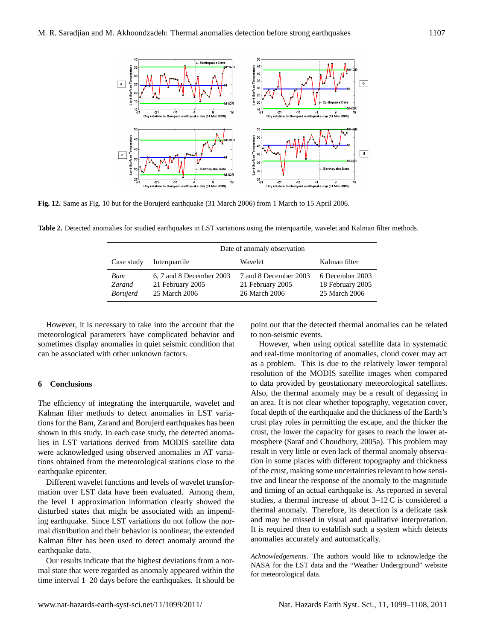

2 **Fig. 12.** Same as Fig. 10 but for the Borujerd earthquake (31 March 2006) from 1 March to 15 April 2006.

Table 2. Detected anomalies for studied earthquakes in LST variations using the interquartile, wavelet and Kalman filter methods.

|                                  | Date of anomaly observation                                   |                                                            |                                                      |  |  |
|----------------------------------|---------------------------------------------------------------|------------------------------------------------------------|------------------------------------------------------|--|--|
| Case study                       | Interguartile                                                 | Wavelet                                                    | Kalman filter                                        |  |  |
| Bam<br>Zarand<br><i>Borujerd</i> | 6, 7 and 8 December 2003<br>21 February 2005<br>25 March 2006 | 7 and 8 December 2003<br>21 February 2005<br>26 March 2006 | 6 December 2003<br>18 February 2005<br>25 March 2006 |  |  |

However, it is necessary to take into the account that the meteorological parameters have complicated behavior and sometimes display anomalies in quiet seismic condition that can be associated with other unknown factors.

# **6 Conclusions**

The efficiency of integrating the interquartile, wavelet and Kalman filter methods to detect anomalies in LST variations for the Bam, Zarand and Borujerd earthquakes has been shown in this study. In each case study, the detected anomalies in LST variations derived from MODIS satellite data were acknowledged using observed anomalies in AT variations obtained from the meteorological stations close to the earthquake epicenter.

Different wavelet functions and levels of wavelet transformation over LST data have been evaluated. Among them, the level 1 approximation information clearly showed the disturbed states that might be associated with an impending earthquake. Since LST variations do not follow the normal distribution and their behavior is nonlinear, the extended Kalman filter has been used to detect anomaly around the earthquake data.

Our results indicate that the highest deviations from a normal state that were regarded as anomaly appeared within the time interval 1–20 days before the earthquakes. It should be point out that the detected thermal anomalies can be related to non-seismic events.

However, when using optical satellite data in systematic and real-time monitoring of anomalies, cloud cover may act as a problem. This is due to the relatively lower temporal resolution of the MODIS satellite images when compared to data provided by geostationary meteorological satellites. Also, the thermal anomaly may be a result of degassing in an area. It is not clear whether topography, vegetation cover, focal depth of the earthquake and the thickness of the Earth's crust play roles in permitting the escape, and the thicker the crust, the lower the capacity for gases to reach the lower atmosphere (Saraf and Choudhury, 2005a). This problem may result in very little or even lack of thermal anomaly observation in some places with different topography and thickness of the crust, making some uncertainties relevant to how sensitive and linear the response of the anomaly to the magnitude and timing of an actual earthquake is. As reported in several studies, a thermal increase of about 3–12C is considered a thermal anomaly. Therefore, its detection is a delicate task and may be missed in visual and qualitative interpretation. It is required then to establish such a system which detects anomalies accurately and automatically.

*Acknowledgements.* The authors would like to acknowledge the NASA for the LST data and the "Weather Underground" website for meteorological data.